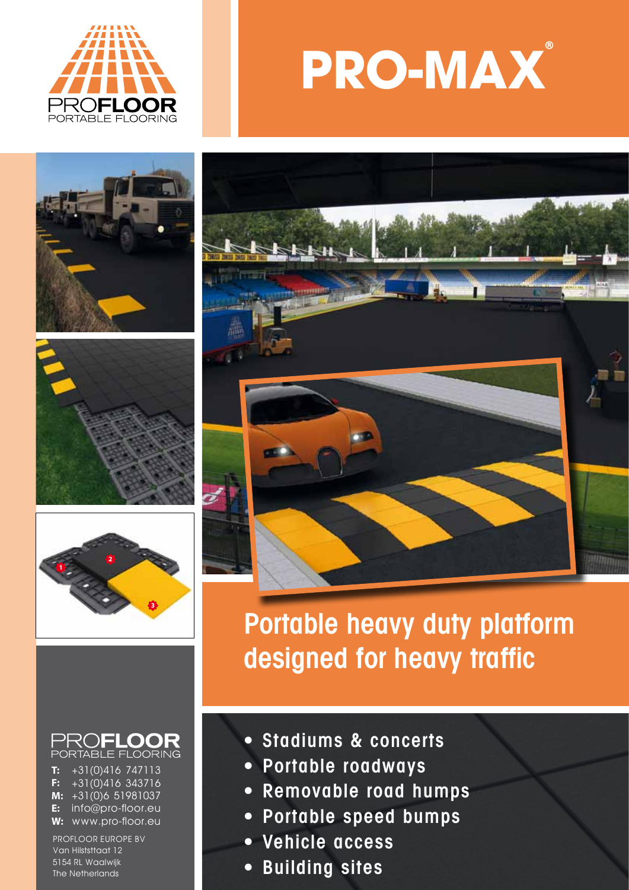











+31(0)416 747113 +31(0)416 343716 +31(0)6 51981037 **M: E:** info@pro-floor.eu **W:** www.pro-floor.eu **T: F:**

PROFLOOR EUROPE BV Van Hilststtaat 12 5154 RL Waalwijk The Netherlands



Portable heavy duty platform designed for heavy traffic

- Stadiums & concerts
- Portable roadways
- Removable road humps
- Portable speed bumps
- Vehicle access
- Building sites